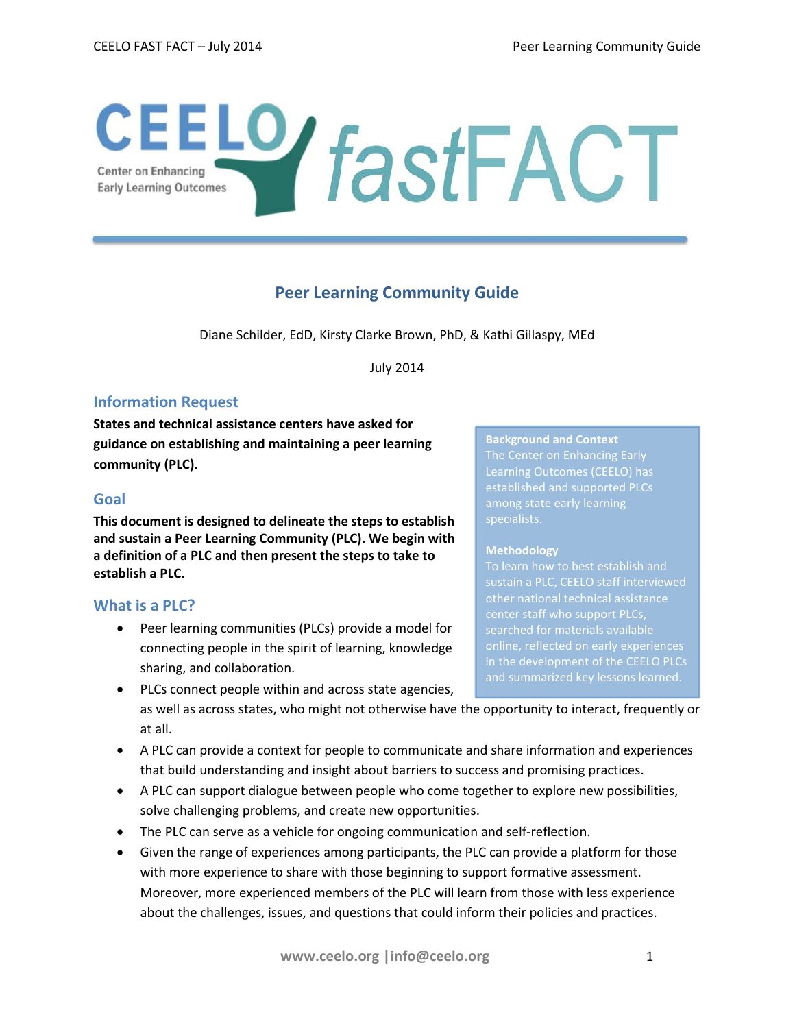# CEELO / fastFACT

# **Peer Learning Community Guide**

Diane Schilder, EdD, Kirsty Clarke Brown, PhD, & Kathi Gillaspy, MEd

July 2014

# **Information Request**

**States and technical assistance centers have asked for guidance on establishing and maintaining a peer learning community (PLC).** 

#### **Goal**

**This document is designed to delineate the steps to establish and sustain a Peer Learning Community (PLC). We begin with a definition of a PLC and then present the steps to take to establish a PLC.** 

#### **What is a PLC?**

• Peer learning communities (PLCs) provide a model for connecting people in the spirit of learning, knowledge sharing, and collaboration.

#### **Background and Context**

The Center on Enhancing Early Learning Outcomes (CEELO) has established and supported PLCs among state early learning

#### **Methodology**

To learn how to best establish and sustain a PLC, CEELO staff interviewed center staff who support PLCs, searched for materials available online, reflected on early experiences in the development of the CEELO PLCs

- PLCs connect people within and across state agencies, as well as across states, who might not otherwise have the opportunity to interact, frequently or at all.
- A PLC can provide a context for people to communicate and share information and experiences that build understanding and insight about barriers to success and promising practices.
- A PLC can support dialogue between people who come together to explore new possibilities, solve challenging problems, and create new opportunities.
- The PLC can serve as a vehicle for ongoing communication and self-reflection.
- Given the range of experiences among participants, the PLC can provide a platform for those with more experience to share with those beginning to support formative assessment. Moreover, more experienced members of the PLC will learn from those with less experience about the challenges, issues, and questions that could inform their policies and practices.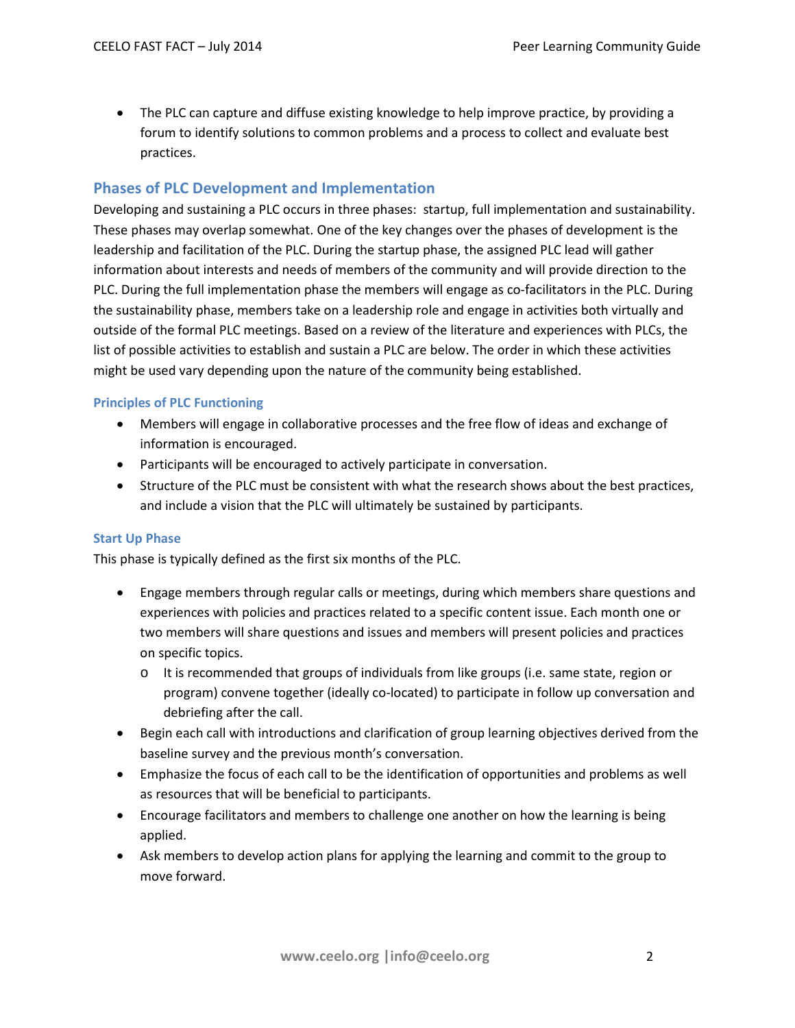• The PLC can capture and diffuse existing knowledge to help improve practice, by providing a forum to identify solutions to common problems and a process to collect and evaluate best practices.

## **Phases of PLC Development and Implementation**

Developing and sustaining a PLC occurs in three phases: startup, full implementation and sustainability. These phases may overlap somewhat. One of the key changes over the phases of development is the leadership and facilitation of the PLC. During the startup phase, the assigned PLC lead will gather information about interests and needs of members of the community and will provide direction to the PLC. During the full implementation phase the members will engage as co-facilitators in the PLC. During the sustainability phase, members take on a leadership role and engage in activities both virtually and outside of the formal PLC meetings. Based on a review of the literature and experiences with PLCs, the list of possible activities to establish and sustain a PLC are below. The order in which these activities might be used vary depending upon the nature of the community being established.

#### **Principles of PLC Functioning**

- Members will engage in collaborative processes and the free flow of ideas and exchange of information is encouraged.
- Participants will be encouraged to actively participate in conversation.
- Structure of the PLC must be consistent with what the research shows about the best practices, and include a vision that the PLC will ultimately be sustained by participants.

#### **Start Up Phase**

This phase is typically defined as the first six months of the PLC.

- Engage members through regular calls or meetings, during which members share questions and experiences with policies and practices related to a specific content issue. Each month one or two members will share questions and issues and members will present policies and practices on specific topics.
	- o It is recommended that groups of individuals from like groups (i.e. same state, region or program) convene together (ideally co-located) to participate in follow up conversation and debriefing after the call.
- Begin each call with introductions and clarification of group learning objectives derived from the baseline survey and the previous month's conversation.
- Emphasize the focus of each call to be the identification of opportunities and problems as well as resources that will be beneficial to participants.
- Encourage facilitators and members to challenge one another on how the learning is being applied.
- Ask members to develop action plans for applying the learning and commit to the group to move forward.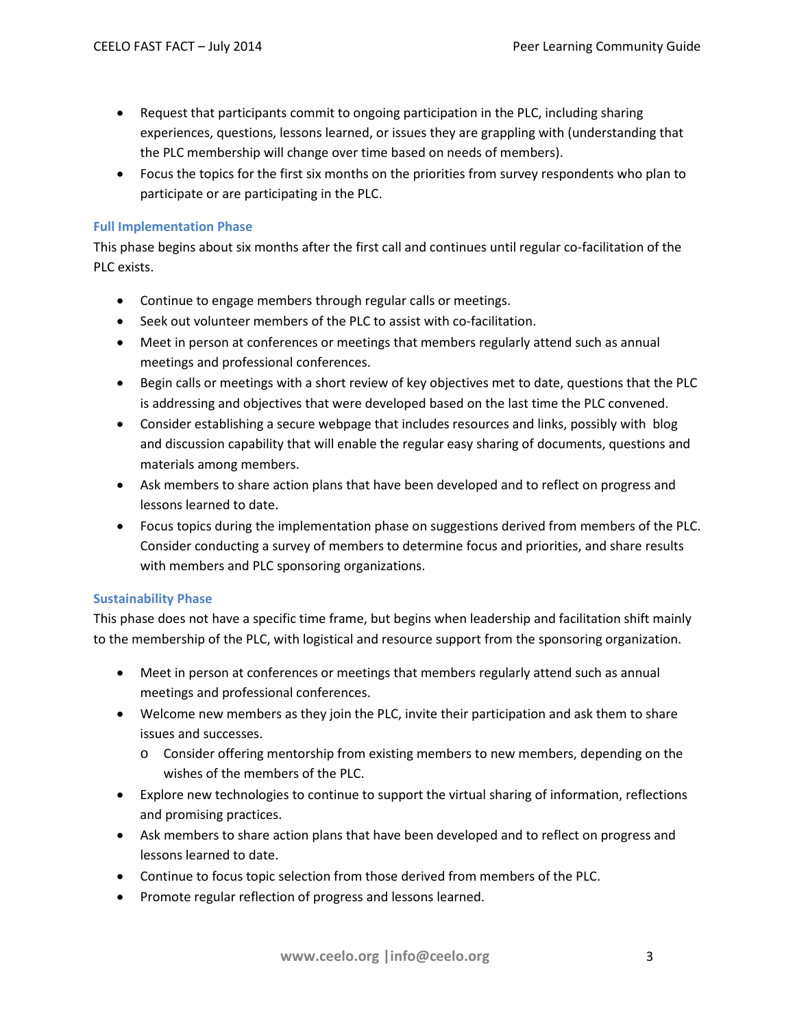- Request that participants commit to ongoing participation in the PLC, including sharing experiences, questions, lessons learned, or issues they are grappling with (understanding that the PLC membership will change over time based on needs of members).
- Focus the topics for the first six months on the priorities from survey respondents who plan to participate or are participating in the PLC.

#### **Full Implementation Phase**

This phase begins about six months after the first call and continues until regular co-facilitation of the PLC exists.

- Continue to engage members through regular calls or meetings.
- Seek out volunteer members of the PLC to assist with co-facilitation.
- Meet in person at conferences or meetings that members regularly attend such as annual meetings and professional conferences.
- Begin calls or meetings with a short review of key objectives met to date, questions that the PLC is addressing and objectives that were developed based on the last time the PLC convened.
- Consider establishing a secure webpage that includes resources and links, possibly with blog and discussion capability that will enable the regular easy sharing of documents, questions and materials among members.
- Ask members to share action plans that have been developed and to reflect on progress and lessons learned to date.
- Focus topics during the implementation phase on suggestions derived from members of the PLC. Consider conducting a survey of members to determine focus and priorities, and share results with members and PLC sponsoring organizations.

#### **Sustainability Phase**

This phase does not have a specific time frame, but begins when leadership and facilitation shift mainly to the membership of the PLC, with logistical and resource support from the sponsoring organization.

- Meet in person at conferences or meetings that members regularly attend such as annual meetings and professional conferences.
- Welcome new members as they join the PLC, invite their participation and ask them to share issues and successes.
	- o Consider offering mentorship from existing members to new members, depending on the wishes of the members of the PLC.
- Explore new technologies to continue to support the virtual sharing of information, reflections and promising practices.
- Ask members to share action plans that have been developed and to reflect on progress and lessons learned to date.
- Continue to focus topic selection from those derived from members of the PLC.
- Promote regular reflection of progress and lessons learned.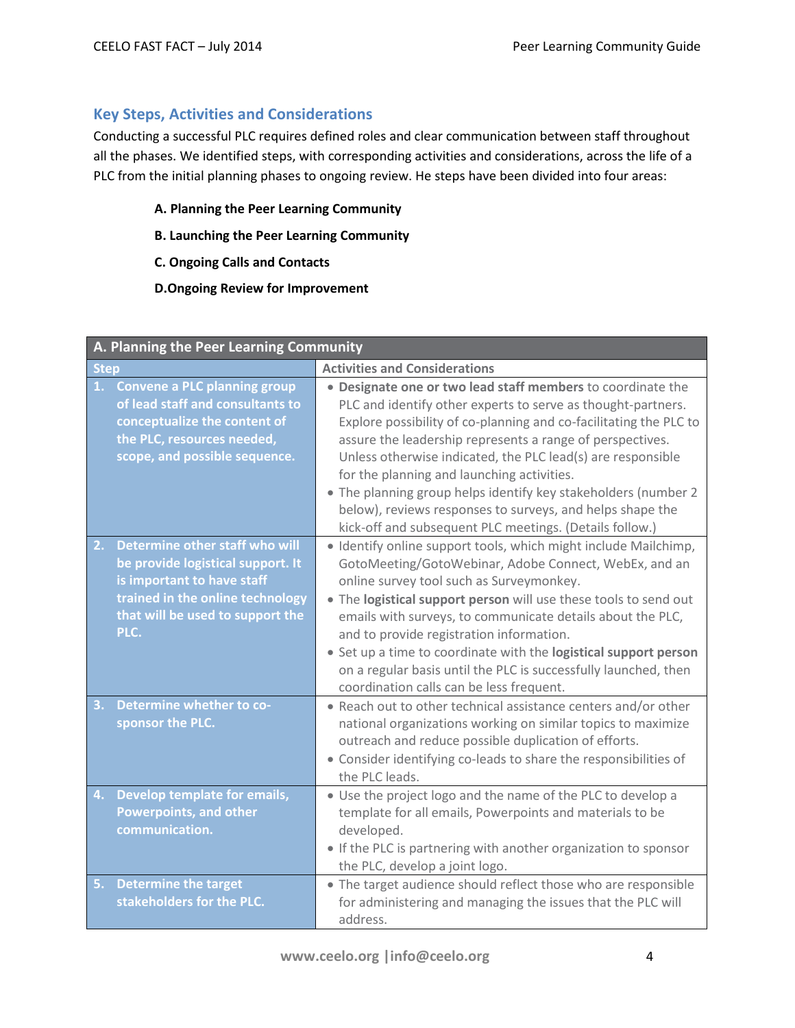## **Key Steps, Activities and Considerations**

Conducting a successful PLC requires defined roles and clear communication between staff throughout all the phases. We identified steps, with corresponding activities and considerations, across the life of a PLC from the initial planning phases to ongoing review. He steps have been divided into four areas:

- **A. [Planning the Peer Learning Community](#page-3-0)**
- **B[. Launching the Peer Learning Community](#page-6-0)**
- **C. [Ongoing Calls and Contacts](#page-7-0)**
- **D[.Ongoing Review for Improvement](#page-9-0)**

<span id="page-3-0"></span>

| A. Planning the Peer Learning Community                                                                                                                                                 |                                                                                                                                                                                                                                                                                                                                                                                                                                                                                                                                                                      |
|-----------------------------------------------------------------------------------------------------------------------------------------------------------------------------------------|----------------------------------------------------------------------------------------------------------------------------------------------------------------------------------------------------------------------------------------------------------------------------------------------------------------------------------------------------------------------------------------------------------------------------------------------------------------------------------------------------------------------------------------------------------------------|
| <b>Step</b>                                                                                                                                                                             | <b>Activities and Considerations</b>                                                                                                                                                                                                                                                                                                                                                                                                                                                                                                                                 |
| <b>Convene a PLC planning group</b><br>1.<br>of lead staff and consultants to<br>conceptualize the content of<br>the PLC, resources needed,<br>scope, and possible sequence.            | • Designate one or two lead staff members to coordinate the<br>PLC and identify other experts to serve as thought-partners.<br>Explore possibility of co-planning and co-facilitating the PLC to<br>assure the leadership represents a range of perspectives.<br>Unless otherwise indicated, the PLC lead(s) are responsible<br>for the planning and launching activities.<br>. The planning group helps identify key stakeholders (number 2<br>below), reviews responses to surveys, and helps shape the<br>kick-off and subsequent PLC meetings. (Details follow.) |
| Determine other staff who will<br>2.<br>be provide logistical support. It<br>is important to have staff<br>trained in the online technology<br>that will be used to support the<br>PLC. | · Identify online support tools, which might include Mailchimp,<br>GotoMeeting/GotoWebinar, Adobe Connect, WebEx, and an<br>online survey tool such as Surveymonkey.<br>. The logistical support person will use these tools to send out<br>emails with surveys, to communicate details about the PLC,<br>and to provide registration information.<br>• Set up a time to coordinate with the logistical support person<br>on a regular basis until the PLC is successfully launched, then<br>coordination calls can be less frequent.                                |
| Determine whether to co-<br>3.<br>sponsor the PLC.                                                                                                                                      | . Reach out to other technical assistance centers and/or other<br>national organizations working on similar topics to maximize<br>outreach and reduce possible duplication of efforts.<br>• Consider identifying co-leads to share the responsibilities of<br>the PLC leads.                                                                                                                                                                                                                                                                                         |
| Develop template for emails,<br>4.<br><b>Powerpoints, and other</b><br>communication.                                                                                                   | • Use the project logo and the name of the PLC to develop a<br>template for all emails, Powerpoints and materials to be<br>developed.<br>• If the PLC is partnering with another organization to sponsor<br>the PLC, develop a joint logo.                                                                                                                                                                                                                                                                                                                           |
| <b>Determine the target</b><br>5.<br>stakeholders for the PLC.                                                                                                                          | • The target audience should reflect those who are responsible<br>for administering and managing the issues that the PLC will<br>address.                                                                                                                                                                                                                                                                                                                                                                                                                            |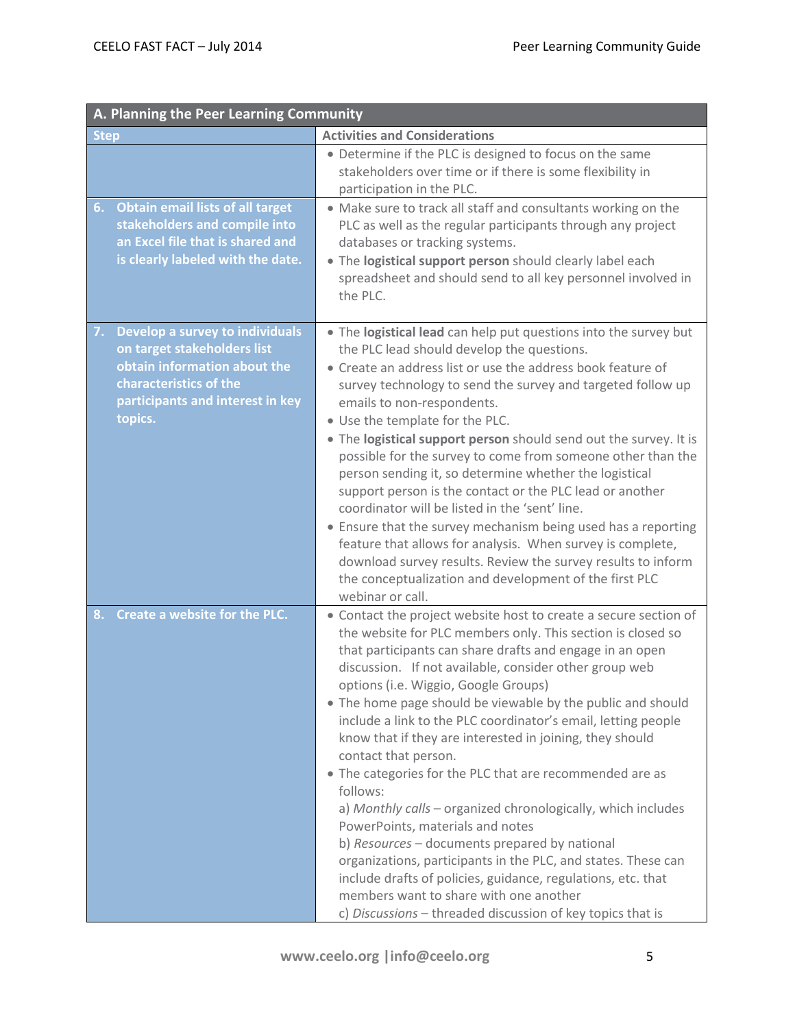| A. Planning the Peer Learning Community                                                                                                                                       |                                                                                                                                                                                                                                                                                                                                                                                                                                                                                                                                                                                                                                                                                                                                                                                                                                                                                                                                                                                         |  |
|-------------------------------------------------------------------------------------------------------------------------------------------------------------------------------|-----------------------------------------------------------------------------------------------------------------------------------------------------------------------------------------------------------------------------------------------------------------------------------------------------------------------------------------------------------------------------------------------------------------------------------------------------------------------------------------------------------------------------------------------------------------------------------------------------------------------------------------------------------------------------------------------------------------------------------------------------------------------------------------------------------------------------------------------------------------------------------------------------------------------------------------------------------------------------------------|--|
| <b>Step</b>                                                                                                                                                                   | <b>Activities and Considerations</b>                                                                                                                                                                                                                                                                                                                                                                                                                                                                                                                                                                                                                                                                                                                                                                                                                                                                                                                                                    |  |
|                                                                                                                                                                               | • Determine if the PLC is designed to focus on the same<br>stakeholders over time or if there is some flexibility in<br>participation in the PLC.                                                                                                                                                                                                                                                                                                                                                                                                                                                                                                                                                                                                                                                                                                                                                                                                                                       |  |
| <b>Obtain email lists of all target</b><br>6.<br>stakeholders and compile into<br>an Excel file that is shared and<br>is clearly labeled with the date.                       | • Make sure to track all staff and consultants working on the<br>PLC as well as the regular participants through any project<br>databases or tracking systems.<br>. The logistical support person should clearly label each<br>spreadsheet and should send to all key personnel involved in<br>the PLC.                                                                                                                                                                                                                                                                                                                                                                                                                                                                                                                                                                                                                                                                                 |  |
| Develop a survey to individuals<br>7.<br>on target stakeholders list<br>obtain information about the<br>characteristics of the<br>participants and interest in key<br>topics. | • The logistical lead can help put questions into the survey but<br>the PLC lead should develop the questions.<br>• Create an address list or use the address book feature of<br>survey technology to send the survey and targeted follow up<br>emails to non-respondents.<br>. Use the template for the PLC.<br>. The logistical support person should send out the survey. It is<br>possible for the survey to come from someone other than the<br>person sending it, so determine whether the logistical<br>support person is the contact or the PLC lead or another<br>coordinator will be listed in the 'sent' line.<br>• Ensure that the survey mechanism being used has a reporting<br>feature that allows for analysis. When survey is complete,<br>download survey results. Review the survey results to inform<br>the conceptualization and development of the first PLC<br>webinar or call.                                                                                  |  |
| Create a website for the PLC.<br>8.                                                                                                                                           | • Contact the project website host to create a secure section of<br>the website for PLC members only. This section is closed so<br>that participants can share drafts and engage in an open<br>discussion. If not available, consider other group web<br>options (i.e. Wiggio, Google Groups)<br>• The home page should be viewable by the public and should<br>include a link to the PLC coordinator's email, letting people<br>know that if they are interested in joining, they should<br>contact that person.<br>• The categories for the PLC that are recommended are as<br>follows:<br>a) Monthly calls - organized chronologically, which includes<br>PowerPoints, materials and notes<br>b) Resources - documents prepared by national<br>organizations, participants in the PLC, and states. These can<br>include drafts of policies, guidance, regulations, etc. that<br>members want to share with one another<br>c) Discussions - threaded discussion of key topics that is |  |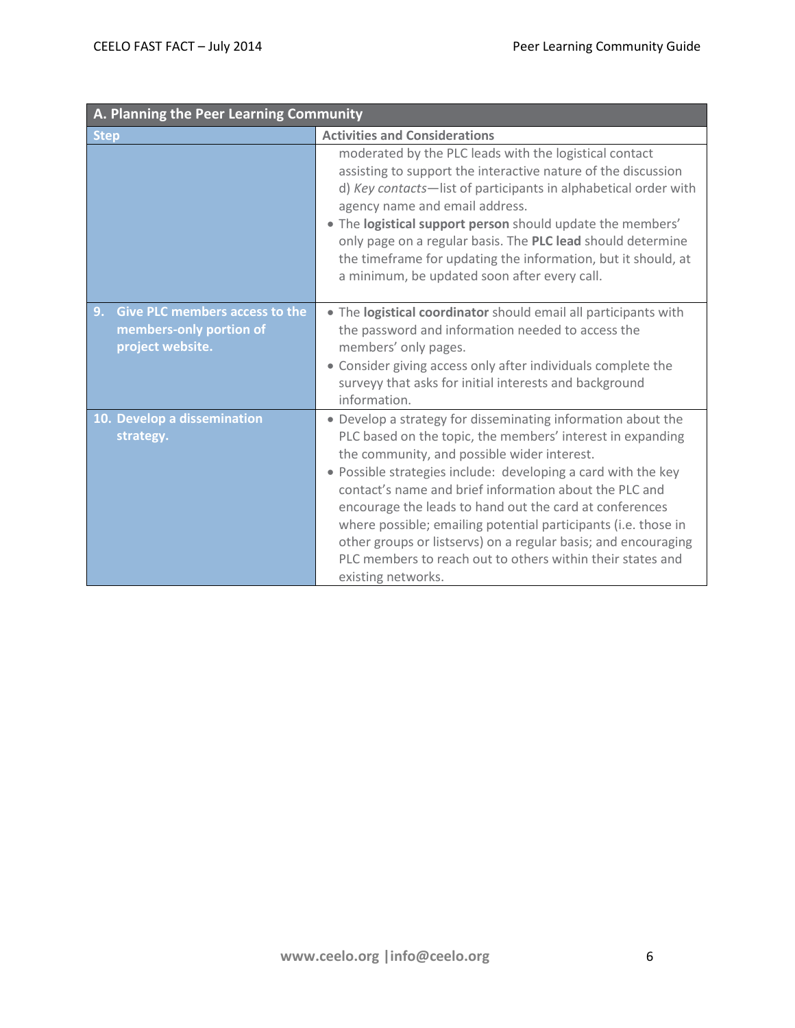| A. Planning the Peer Learning Community                                                    |                                                                                                                                                                                                                                                                                                                                                                                                                                                                                                                                                                                         |
|--------------------------------------------------------------------------------------------|-----------------------------------------------------------------------------------------------------------------------------------------------------------------------------------------------------------------------------------------------------------------------------------------------------------------------------------------------------------------------------------------------------------------------------------------------------------------------------------------------------------------------------------------------------------------------------------------|
| <b>Step</b>                                                                                | <b>Activities and Considerations</b>                                                                                                                                                                                                                                                                                                                                                                                                                                                                                                                                                    |
|                                                                                            | moderated by the PLC leads with the logistical contact<br>assisting to support the interactive nature of the discussion<br>d) Key contacts-list of participants in alphabetical order with<br>agency name and email address.<br>• The logistical support person should update the members'<br>only page on a regular basis. The PLC lead should determine<br>the timeframe for updating the information, but it should, at<br>a minimum, be updated soon after every call.                                                                                                              |
| <b>Give PLC members access to the</b><br>9.<br>members-only portion of<br>project website. | . The logistical coordinator should email all participants with<br>the password and information needed to access the<br>members' only pages.<br>• Consider giving access only after individuals complete the<br>surveyy that asks for initial interests and background<br>information.                                                                                                                                                                                                                                                                                                  |
| 10. Develop a dissemination<br>strategy.                                                   | • Develop a strategy for disseminating information about the<br>PLC based on the topic, the members' interest in expanding<br>the community, and possible wider interest.<br>• Possible strategies include: developing a card with the key<br>contact's name and brief information about the PLC and<br>encourage the leads to hand out the card at conferences<br>where possible; emailing potential participants (i.e. those in<br>other groups or listservs) on a regular basis; and encouraging<br>PLC members to reach out to others within their states and<br>existing networks. |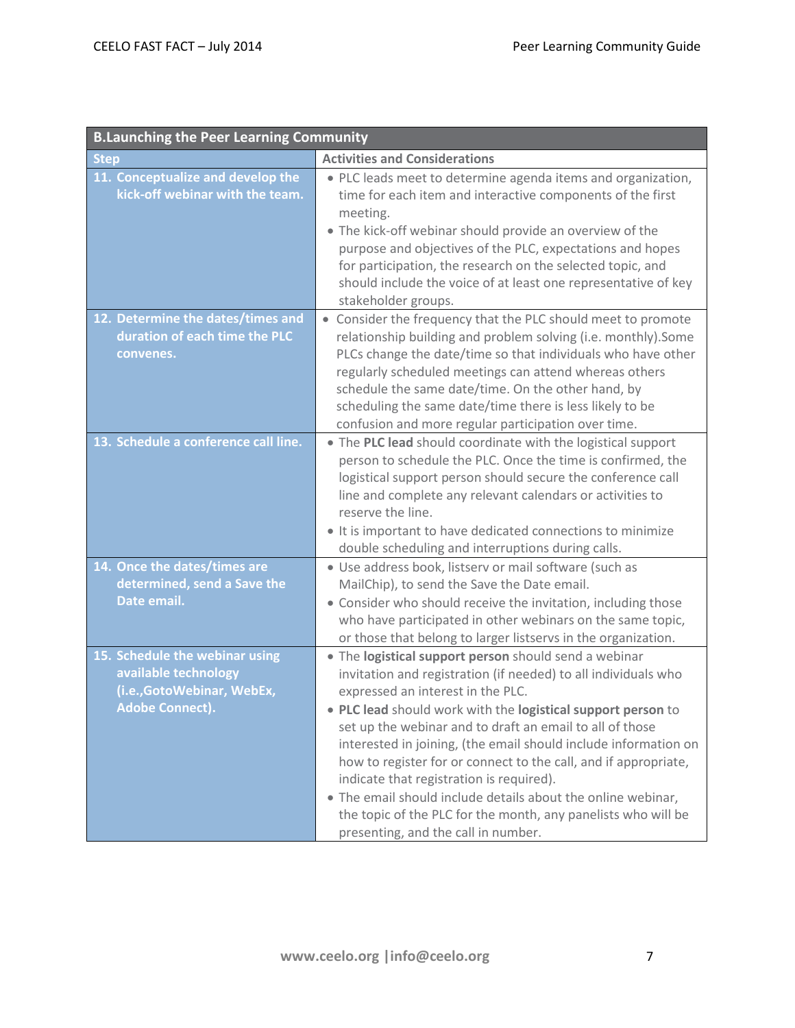<span id="page-6-0"></span>

| <b>B.Launching the Peer Learning Community</b>                                                                  |                                                                                                                                                                                                                                                                                                                                                                                                                                                                                                                                                                                                                                                    |
|-----------------------------------------------------------------------------------------------------------------|----------------------------------------------------------------------------------------------------------------------------------------------------------------------------------------------------------------------------------------------------------------------------------------------------------------------------------------------------------------------------------------------------------------------------------------------------------------------------------------------------------------------------------------------------------------------------------------------------------------------------------------------------|
| <b>Step</b>                                                                                                     | <b>Activities and Considerations</b>                                                                                                                                                                                                                                                                                                                                                                                                                                                                                                                                                                                                               |
| 11. Conceptualize and develop the<br>kick-off webinar with the team.                                            | · PLC leads meet to determine agenda items and organization,<br>time for each item and interactive components of the first<br>meeting.<br>• The kick-off webinar should provide an overview of the<br>purpose and objectives of the PLC, expectations and hopes<br>for participation, the research on the selected topic, and<br>should include the voice of at least one representative of key<br>stakeholder groups.                                                                                                                                                                                                                             |
| 12. Determine the dates/times and<br>duration of each time the PLC<br>convenes.                                 | • Consider the frequency that the PLC should meet to promote<br>relationship building and problem solving (i.e. monthly).Some<br>PLCs change the date/time so that individuals who have other<br>regularly scheduled meetings can attend whereas others<br>schedule the same date/time. On the other hand, by<br>scheduling the same date/time there is less likely to be<br>confusion and more regular participation over time.                                                                                                                                                                                                                   |
| 13. Schedule a conference call line.                                                                            | • The PLC lead should coordinate with the logistical support<br>person to schedule the PLC. Once the time is confirmed, the<br>logistical support person should secure the conference call<br>line and complete any relevant calendars or activities to<br>reserve the line.<br>• It is important to have dedicated connections to minimize<br>double scheduling and interruptions during calls.                                                                                                                                                                                                                                                   |
| 14. Once the dates/times are<br>determined, send a Save the<br>Date email.                                      | · Use address book, listserv or mail software (such as<br>MailChip), to send the Save the Date email.<br>• Consider who should receive the invitation, including those<br>who have participated in other webinars on the same topic,<br>or those that belong to larger listservs in the organization.                                                                                                                                                                                                                                                                                                                                              |
| 15. Schedule the webinar using<br>available technology<br>(i.e., Goto Webinar, WebEx,<br><b>Adobe Connect).</b> | • The logistical support person should send a webinar<br>invitation and registration (if needed) to all individuals who<br>expressed an interest in the PLC.<br>. PLC lead should work with the logistical support person to<br>set up the webinar and to draft an email to all of those<br>interested in joining, (the email should include information on<br>how to register for or connect to the call, and if appropriate,<br>indicate that registration is required).<br>• The email should include details about the online webinar,<br>the topic of the PLC for the month, any panelists who will be<br>presenting, and the call in number. |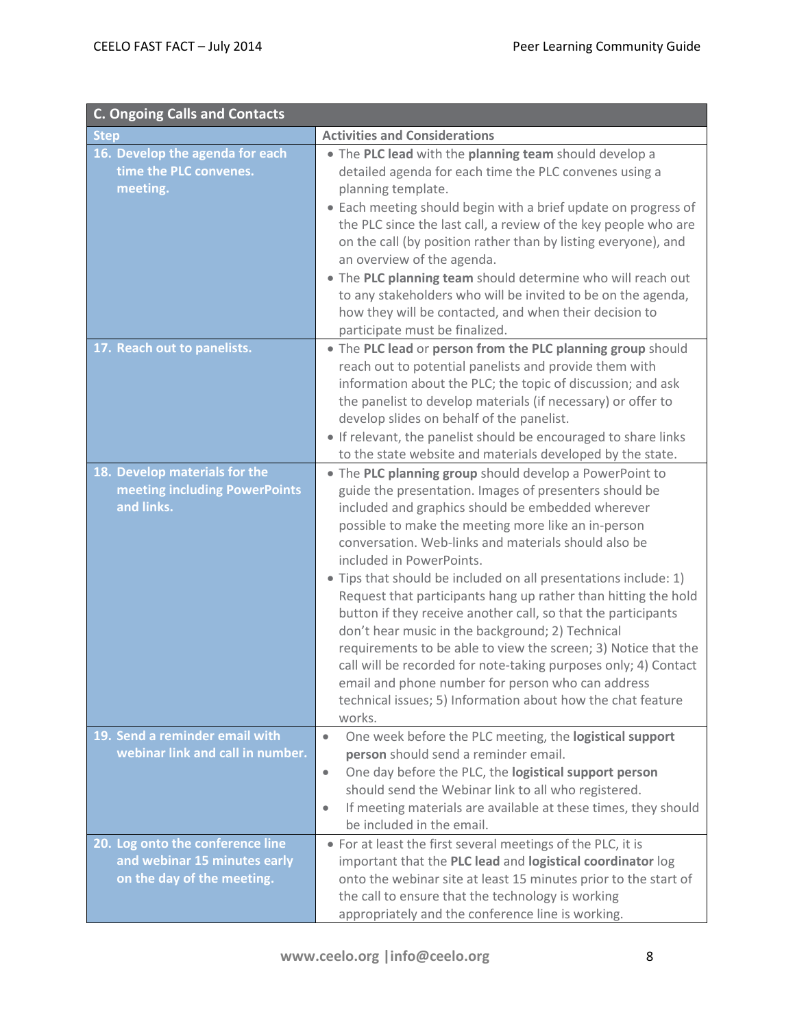<span id="page-7-0"></span>

| <b>C. Ongoing Calls and Contacts</b>                                                           |                                                                                                                                                                                                                                                                                                                                                                                                                                                                                                                                                                                                                                                                                                                                                                                                                                                |
|------------------------------------------------------------------------------------------------|------------------------------------------------------------------------------------------------------------------------------------------------------------------------------------------------------------------------------------------------------------------------------------------------------------------------------------------------------------------------------------------------------------------------------------------------------------------------------------------------------------------------------------------------------------------------------------------------------------------------------------------------------------------------------------------------------------------------------------------------------------------------------------------------------------------------------------------------|
| <b>Step</b>                                                                                    | <b>Activities and Considerations</b>                                                                                                                                                                                                                                                                                                                                                                                                                                                                                                                                                                                                                                                                                                                                                                                                           |
| 16. Develop the agenda for each<br>time the PLC convenes.<br>meeting.                          | . The PLC lead with the planning team should develop a<br>detailed agenda for each time the PLC convenes using a<br>planning template.<br>• Each meeting should begin with a brief update on progress of<br>the PLC since the last call, a review of the key people who are<br>on the call (by position rather than by listing everyone), and<br>an overview of the agenda.<br>. The PLC planning team should determine who will reach out<br>to any stakeholders who will be invited to be on the agenda,<br>how they will be contacted, and when their decision to<br>participate must be finalized.                                                                                                                                                                                                                                         |
| 17. Reach out to panelists.                                                                    | . The PLC lead or person from the PLC planning group should<br>reach out to potential panelists and provide them with<br>information about the PLC; the topic of discussion; and ask<br>the panelist to develop materials (if necessary) or offer to<br>develop slides on behalf of the panelist.<br>• If relevant, the panelist should be encouraged to share links<br>to the state website and materials developed by the state.                                                                                                                                                                                                                                                                                                                                                                                                             |
| 18. Develop materials for the<br>meeting including PowerPoints<br>and links.                   | . The PLC planning group should develop a PowerPoint to<br>guide the presentation. Images of presenters should be<br>included and graphics should be embedded wherever<br>possible to make the meeting more like an in-person<br>conversation. Web-links and materials should also be<br>included in PowerPoints.<br>• Tips that should be included on all presentations include: 1)<br>Request that participants hang up rather than hitting the hold<br>button if they receive another call, so that the participants<br>don't hear music in the background; 2) Technical<br>requirements to be able to view the screen; 3) Notice that the<br>call will be recorded for note-taking purposes only; 4) Contact<br>email and phone number for person who can address<br>technical issues; 5) Information about how the chat feature<br>works. |
| 19. Send a reminder email with<br>webinar link and call in number.                             | One week before the PLC meeting, the logistical support<br>$\bullet$<br>person should send a reminder email.<br>One day before the PLC, the logistical support person<br>$\bullet$<br>should send the Webinar link to all who registered.<br>If meeting materials are available at these times, they should<br>be included in the email.                                                                                                                                                                                                                                                                                                                                                                                                                                                                                                       |
| 20. Log onto the conference line<br>and webinar 15 minutes early<br>on the day of the meeting. | • For at least the first several meetings of the PLC, it is<br>important that the PLC lead and logistical coordinator log<br>onto the webinar site at least 15 minutes prior to the start of<br>the call to ensure that the technology is working<br>appropriately and the conference line is working.                                                                                                                                                                                                                                                                                                                                                                                                                                                                                                                                         |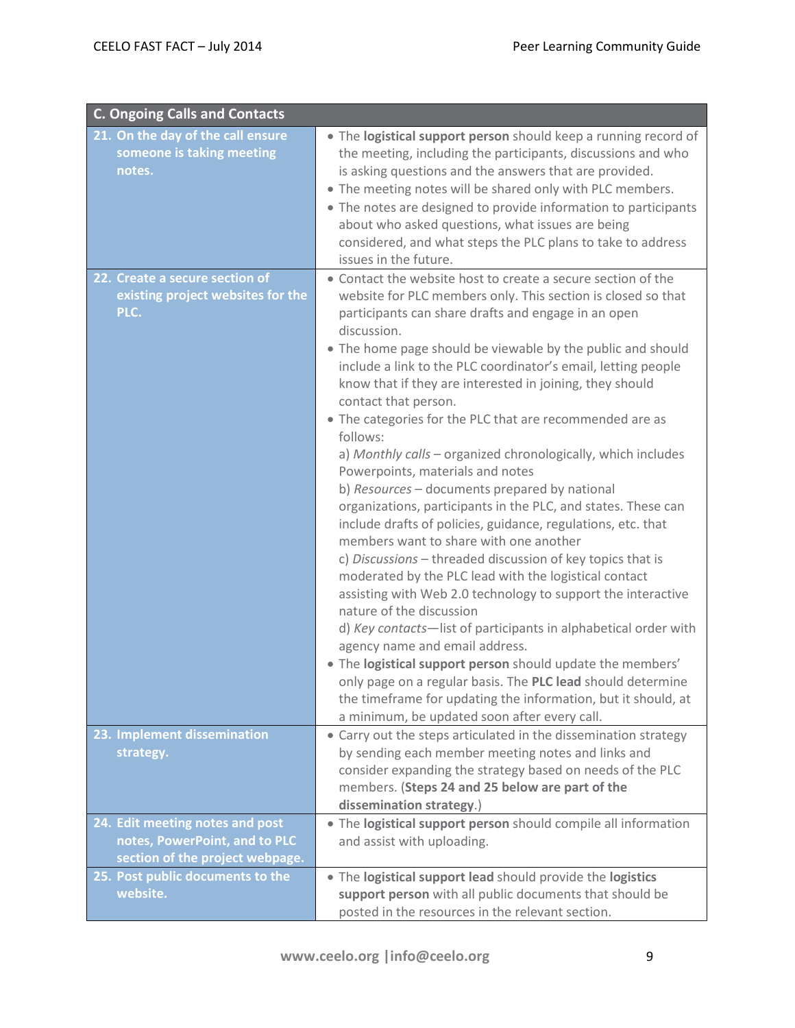| <b>C. Ongoing Calls and Contacts</b>                                                                                                                    |                                                                                                                                                                                                                                                                                                                                                                                                                                                                                                                                                                                                                                                                                                                                                                                                                                                                                                                                                                                                                                                                                                                                 |
|---------------------------------------------------------------------------------------------------------------------------------------------------------|---------------------------------------------------------------------------------------------------------------------------------------------------------------------------------------------------------------------------------------------------------------------------------------------------------------------------------------------------------------------------------------------------------------------------------------------------------------------------------------------------------------------------------------------------------------------------------------------------------------------------------------------------------------------------------------------------------------------------------------------------------------------------------------------------------------------------------------------------------------------------------------------------------------------------------------------------------------------------------------------------------------------------------------------------------------------------------------------------------------------------------|
| 21. On the day of the call ensure<br>someone is taking meeting<br>notes.<br>22. Create a secure section of<br>existing project websites for the<br>PLC. | • The logistical support person should keep a running record of<br>the meeting, including the participants, discussions and who<br>is asking questions and the answers that are provided.<br>. The meeting notes will be shared only with PLC members.<br>• The notes are designed to provide information to participants<br>about who asked questions, what issues are being<br>considered, and what steps the PLC plans to take to address<br>issues in the future.<br>• Contact the website host to create a secure section of the<br>website for PLC members only. This section is closed so that<br>participants can share drafts and engage in an open<br>discussion.<br>• The home page should be viewable by the public and should                                                                                                                                                                                                                                                                                                                                                                                      |
|                                                                                                                                                         | include a link to the PLC coordinator's email, letting people<br>know that if they are interested in joining, they should<br>contact that person.<br>• The categories for the PLC that are recommended are as<br>follows:<br>a) Monthly calls - organized chronologically, which includes<br>Powerpoints, materials and notes<br>b) Resources - documents prepared by national<br>organizations, participants in the PLC, and states. These can<br>include drafts of policies, guidance, regulations, etc. that<br>members want to share with one another<br>c) Discussions - threaded discussion of key topics that is<br>moderated by the PLC lead with the logistical contact<br>assisting with Web 2.0 technology to support the interactive<br>nature of the discussion<br>d) Key contacts-list of participants in alphabetical order with<br>agency name and email address.<br>• The logistical support person should update the members'<br>only page on a regular basis. The PLC lead should determine<br>the timeframe for updating the information, but it should, at<br>a minimum, be updated soon after every call. |
| 23. Implement dissemination<br>strategy.                                                                                                                | • Carry out the steps articulated in the dissemination strategy<br>by sending each member meeting notes and links and<br>consider expanding the strategy based on needs of the PLC<br>members. (Steps 24 and 25 below are part of the<br>dissemination strategy.)                                                                                                                                                                                                                                                                                                                                                                                                                                                                                                                                                                                                                                                                                                                                                                                                                                                               |
| 24. Edit meeting notes and post<br>notes, PowerPoint, and to PLC<br>section of the project webpage.                                                     | • The logistical support person should compile all information<br>and assist with uploading.                                                                                                                                                                                                                                                                                                                                                                                                                                                                                                                                                                                                                                                                                                                                                                                                                                                                                                                                                                                                                                    |
| 25. Post public documents to the<br>website.                                                                                                            | . The logistical support lead should provide the logistics<br>support person with all public documents that should be<br>posted in the resources in the relevant section.                                                                                                                                                                                                                                                                                                                                                                                                                                                                                                                                                                                                                                                                                                                                                                                                                                                                                                                                                       |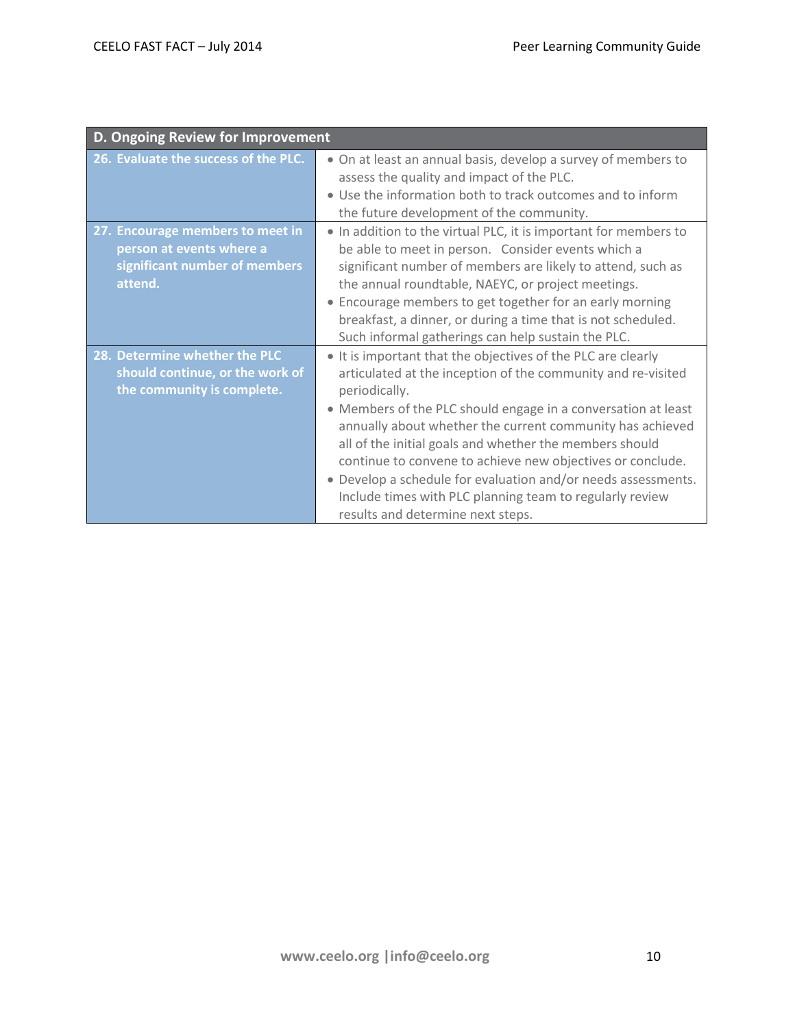<span id="page-9-0"></span>

| D. Ongoing Review for Improvement                                                                        |                                                                                                                                                                                                                                                                                                                                                                                                                                                                                                                                                                        |
|----------------------------------------------------------------------------------------------------------|------------------------------------------------------------------------------------------------------------------------------------------------------------------------------------------------------------------------------------------------------------------------------------------------------------------------------------------------------------------------------------------------------------------------------------------------------------------------------------------------------------------------------------------------------------------------|
| 26. Evaluate the success of the PLC.                                                                     | • On at least an annual basis, develop a survey of members to<br>assess the quality and impact of the PLC.<br>• Use the information both to track outcomes and to inform<br>the future development of the community.                                                                                                                                                                                                                                                                                                                                                   |
| 27. Encourage members to meet in<br>person at events where a<br>significant number of members<br>attend. | • In addition to the virtual PLC, it is important for members to<br>be able to meet in person. Consider events which a<br>significant number of members are likely to attend, such as<br>the annual roundtable, NAEYC, or project meetings.<br>• Encourage members to get together for an early morning<br>breakfast, a dinner, or during a time that is not scheduled.<br>Such informal gatherings can help sustain the PLC.                                                                                                                                          |
| 28. Determine whether the PLC<br>should continue, or the work of<br>the community is complete.           | • It is important that the objectives of the PLC are clearly<br>articulated at the inception of the community and re-visited<br>periodically.<br>• Members of the PLC should engage in a conversation at least<br>annually about whether the current community has achieved<br>all of the initial goals and whether the members should<br>continue to convene to achieve new objectives or conclude.<br>• Develop a schedule for evaluation and/or needs assessments.<br>Include times with PLC planning team to regularly review<br>results and determine next steps. |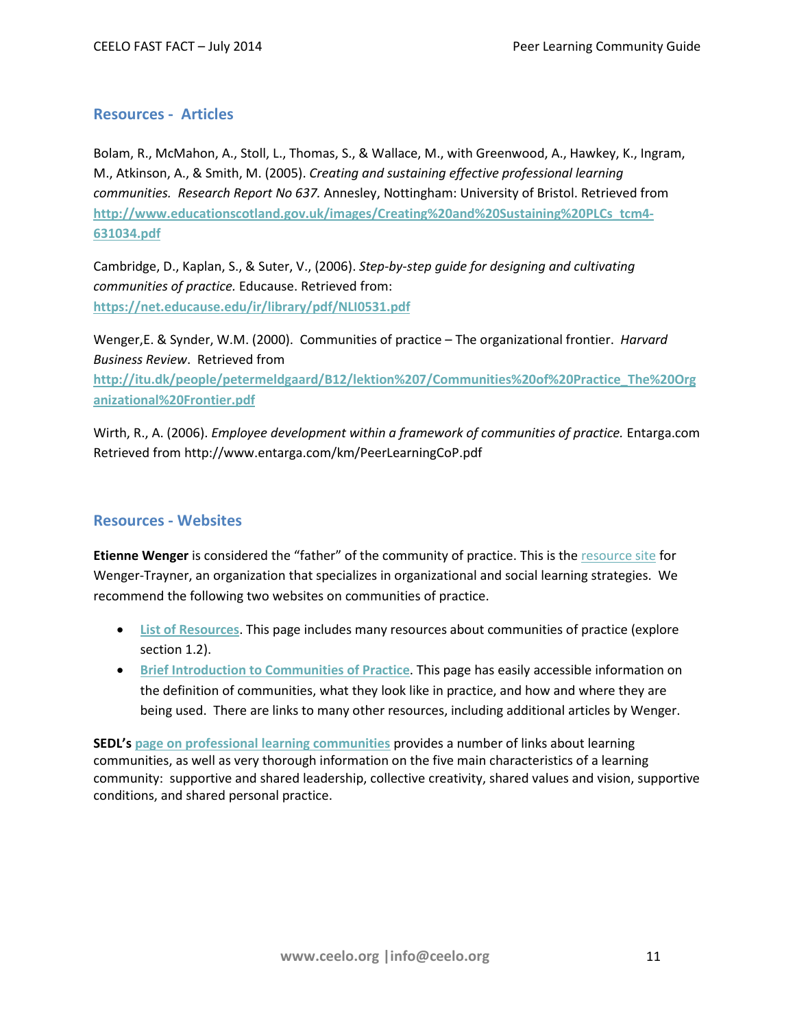#### **Resources - Articles**

Bolam, R., McMahon, A., Stoll, L., Thomas, S., & Wallace, M., with Greenwood, A., Hawkey, K., Ingram, M., Atkinson, A., & Smith, M. (2005). *Creating and sustaining effective professional learning communities. Research Report No 637.* Annesley, Nottingham: University of Bristol. Retrieved from **[http://www.educationscotland.gov.uk/images/Creating%20and%20Sustaining%20PLCs\\_tcm4-](http://www.educationscotland.gov.uk/images/Creating%20and%20Sustaining%20PLCs_tcm4-631034.pdf) [631034.pdf](http://www.educationscotland.gov.uk/images/Creating%20and%20Sustaining%20PLCs_tcm4-631034.pdf)**

Cambridge, D., Kaplan, S., & Suter, V., (2006). *Step-by-step guide for designing and cultivating communities of practice.* Educause. Retrieved from: **<https://net.educause.edu/ir/library/pdf/NLI0531.pdf>**

Wenger,E. & Synder, W.M. (2000). Communities of practice – The organizational frontier. *Harvard Business Review*. Retrieved from

**[http://itu.dk/people/petermeldgaard/B12/lektion%207/Communities%20of%20Practice\\_The%20Org](http://itu.dk/people/petermeldgaard/B12/lektion%207/Communities%20of%20Practice_The%20Organizational%20Frontier.pdf) [anizational%20Frontier.pdf](http://itu.dk/people/petermeldgaard/B12/lektion%207/Communities%20of%20Practice_The%20Organizational%20Frontier.pdf)**

Wirth, R., A. (2006). *Employee development within a framework of communities of practice.* Entarga.com Retrieved from http://www.entarga.com/km/PeerLearningCoP.pdf

#### **Resources - Websites**

**Etienne Wenger** is considered the "father" of the community of practice. This is the [resource site](http://wenger-trayner.com/map-of-resources/) for Wenger-Trayner, an organization that specializes in organizational and social learning strategies. We recommend the following two websites on communities of practice.

- **[List of Resources](http://wenger-trayner.com/map-of-resources/)**. This page includes many resources about communities of practice (explore section 1.2).
- **[Brief Introduction to Communities of Practice](http://www.ewenger.com/theory/)**. This page has easily accessible information on the definition of communities, what they look like in practice, and how and where they are being used. There are links to many other resources, including additional articles by Wenger.

**SEDL's [page on professional learning communities](http://www.sedl.org/change/issues/issues61.html)** provides a number of links about learning communities, as well as very thorough information on the five main characteristics of a learning community: supportive and shared leadership, collective creativity, shared values and vision, supportive conditions, and shared personal practice.